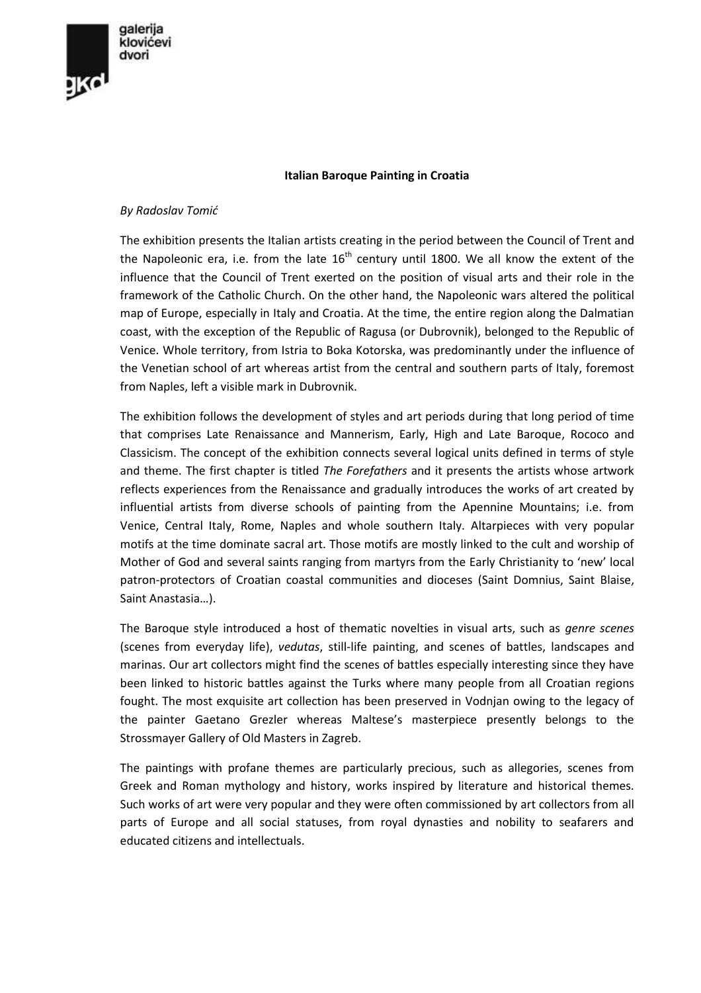

## **Italian Baroque Painting in Croatia**

## *By Radoslav Tomić*

The exhibition presents the Italian artists creating in the period between the Council of Trent and the Napoleonic era, i.e. from the late  $16<sup>th</sup>$  century until 1800. We all know the extent of the influence that the Council of Trent exerted on the position of visual arts and their role in the framework of the Catholic Church. On the other hand, the Napoleonic wars altered the political map of Europe, especially in Italy and Croatia. At the time, the entire region along the Dalmatian coast, with the exception of the Republic of Ragusa (or Dubrovnik), belonged to the Republic of Venice. Whole territory, from Istria to Boka Kotorska, was predominantly under the influence of the Venetian school of art whereas artist from the central and southern parts of Italy, foremost from Naples, left a visible mark in Dubrovnik.

The exhibition follows the development of styles and art periods during that long period of time that comprises Late Renaissance and Mannerism, Early, High and Late Baroque, Rococo and Classicism. The concept of the exhibition connects several logical units defined in terms of style and theme. The first chapter is titled *The Forefathers* and it presents the artists whose artwork reflects experiences from the Renaissance and gradually introduces the works of art created by influential artists from diverse schools of painting from the Apennine Mountains; i.e. from Venice, Central Italy, Rome, Naples and whole southern Italy. Altarpieces with very popular motifs at the time dominate sacral art. Those motifs are mostly linked to the cult and worship of Mother of God and several saints ranging from martyrs from the Early Christianity to 'new' local patron-protectors of Croatian coastal communities and dioceses (Saint Domnius, Saint Blaise, Saint Anastasia…).

The Baroque style introduced a host of thematic novelties in visual arts, such as *genre scenes* (scenes from everyday life), *vedutas*, still-life painting, and scenes of battles, landscapes and marinas. Our art collectors might find the scenes of battles especially interesting since they have been linked to historic battles against the Turks where many people from all Croatian regions fought. The most exquisite art collection has been preserved in Vodnjan owing to the legacy of the painter Gaetano Grezler whereas Maltese's masterpiece presently belongs to the Strossmayer Gallery of Old Masters in Zagreb.

The paintings with profane themes are particularly precious, such as allegories, scenes from Greek and Roman mythology and history, works inspired by literature and historical themes. Such works of art were very popular and they were often commissioned by art collectors from all parts of Europe and all social statuses, from royal dynasties and nobility to seafarers and educated citizens and intellectuals.